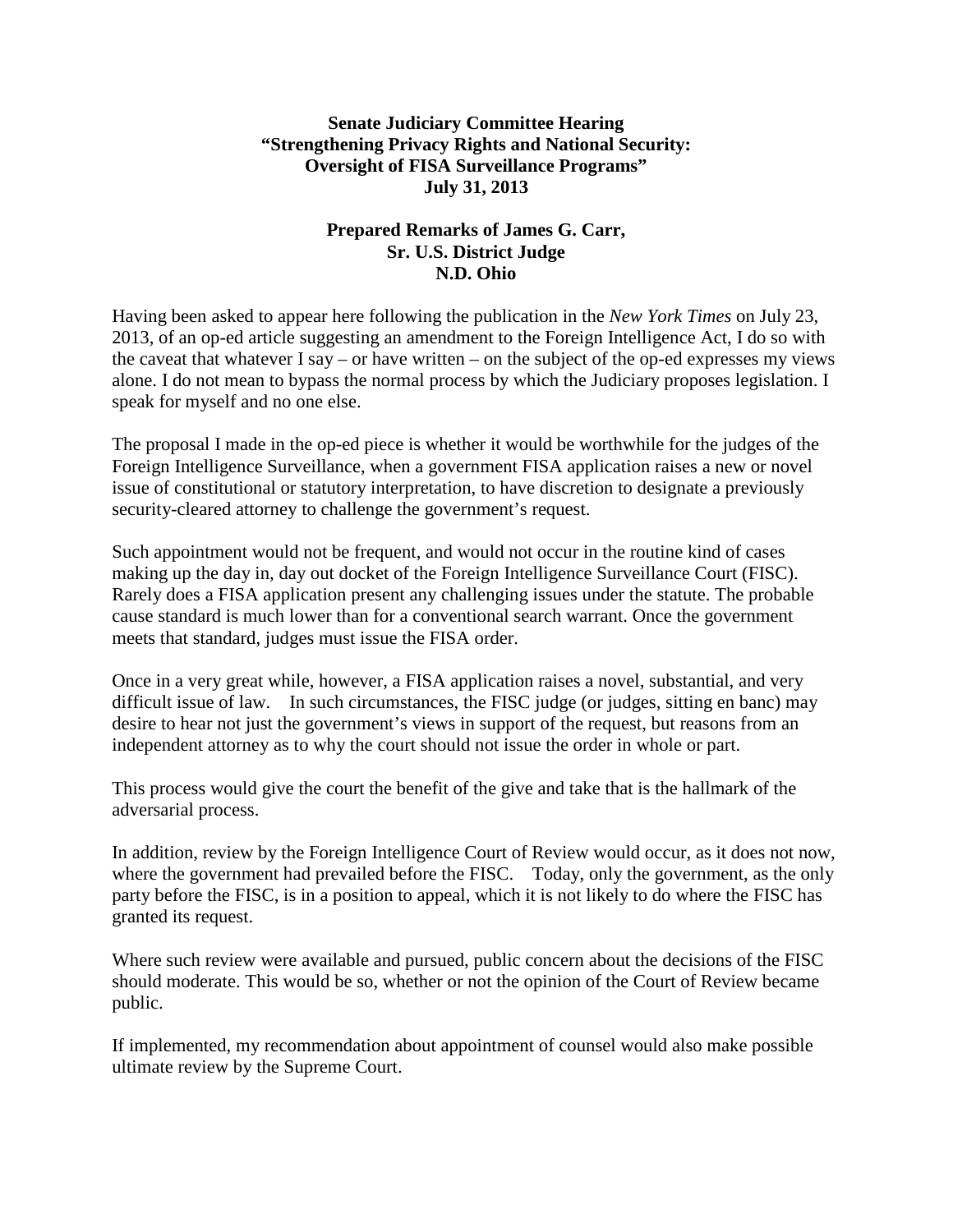## **Senate Judiciary Committee Hearing "Strengthening Privacy Rights and National Security: Oversight of FISA Surveillance Programs" July 31, 2013**

## **Prepared Remarks of James G. Carr, Sr. U.S. District Judge N.D. Ohio**

Having been asked to appear here following the publication in the *New York Times* on July 23, 2013, of an op-ed article suggesting an amendment to the Foreign Intelligence Act, I do so with the caveat that whatever  $I$  say – or have written – on the subject of the op-ed expresses my views alone. I do not mean to bypass the normal process by which the Judiciary proposes legislation. I speak for myself and no one else.

The proposal I made in the op-ed piece is whether it would be worthwhile for the judges of the Foreign Intelligence Surveillance, when a government FISA application raises a new or novel issue of constitutional or statutory interpretation, to have discretion to designate a previously security-cleared attorney to challenge the government's request.

Such appointment would not be frequent, and would not occur in the routine kind of cases making up the day in, day out docket of the Foreign Intelligence Surveillance Court (FISC). Rarely does a FISA application present any challenging issues under the statute. The probable cause standard is much lower than for a conventional search warrant. Once the government meets that standard, judges must issue the FISA order.

Once in a very great while, however, a FISA application raises a novel, substantial, and very difficult issue of law. In such circumstances, the FISC judge (or judges, sitting en banc) may desire to hear not just the government's views in support of the request, but reasons from an independent attorney as to why the court should not issue the order in whole or part.

This process would give the court the benefit of the give and take that is the hallmark of the adversarial process.

In addition, review by the Foreign Intelligence Court of Review would occur, as it does not now, where the government had prevailed before the FISC. Today, only the government, as the only party before the FISC, is in a position to appeal, which it is not likely to do where the FISC has granted its request.

Where such review were available and pursued, public concern about the decisions of the FISC should moderate. This would be so, whether or not the opinion of the Court of Review became public.

If implemented, my recommendation about appointment of counsel would also make possible ultimate review by the Supreme Court.